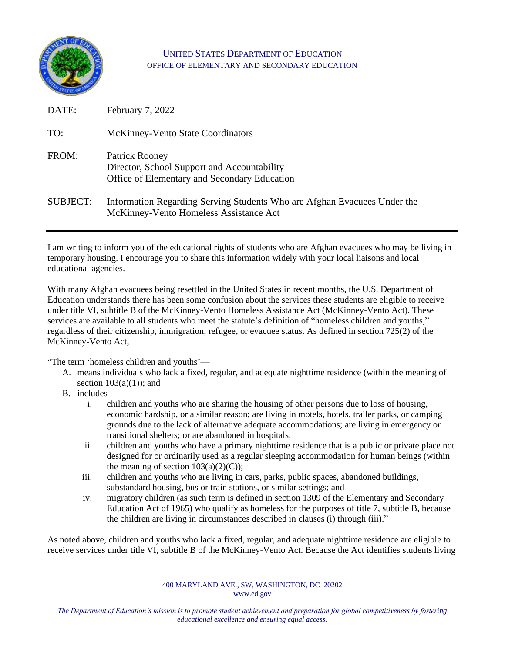

## UNITED STATES DEPARTMENT OF EDUCATION OFFICE OF ELEMENTARY AND SECONDARY EDUCATION

| DATE:           | February 7, 2022                                                                                                   |
|-----------------|--------------------------------------------------------------------------------------------------------------------|
| TO:             | <b>McKinney-Vento State Coordinators</b>                                                                           |
| FROM:           | Patrick Rooney<br>Director, School Support and Accountability<br>Office of Elementary and Secondary Education      |
| <b>SUBJECT:</b> | Information Regarding Serving Students Who are Afghan Evacuees Under the<br>McKinney-Vento Homeless Assistance Act |

I am writing to inform you of the educational rights of students who are Afghan evacuees who may be living in temporary housing. I encourage you to share this information widely with your local liaisons and local educational agencies.

With many Afghan evacuees being resettled in the United States in recent months, the U.S. Department of Education understands there has been some confusion about the services these students are eligible to receive under title VI, subtitle B of the McKinney-Vento Homeless Assistance Act (McKinney-Vento Act). These services are available to all students who meet the statute's definition of "homeless children and youths," regardless of their citizenship, immigration, refugee, or evacuee status. As defined in section 725(2) of the McKinney-Vento Act,

"The term 'homeless children and youths'—

- A. means individuals who lack a fixed, regular, and adequate nighttime residence (within the meaning of section  $103(a)(1)$ ; and
- B. includes
	- i. children and youths who are sharing the housing of other persons due to loss of housing, economic hardship, or a similar reason; are living in motels, hotels, trailer parks, or camping grounds due to the lack of alternative adequate accommodations; are living in emergency or transitional shelters; or are abandoned in hospitals;
	- ii. children and youths who have a primary nighttime residence that is a public or private place not designed for or ordinarily used as a regular sleeping accommodation for human beings (within the meaning of section  $103(a)(2)(C)$ ;
	- iii. children and youths who are living in cars, parks, public spaces, abandoned buildings, substandard housing, bus or train stations, or similar settings; and
	- iv. migratory children (as such term is defined in section 1309 of the Elementary and Secondary Education Act of 1965) who qualify as homeless for the purposes of title 7, subtitle B, because the children are living in circumstances described in clauses (i) through (iii)."

As noted above, children and youths who lack a fixed, regular, and adequate nighttime residence are eligible to receive services under title VI, subtitle B of the McKinney-Vento Act. Because the Act identifies students living

> 400 MARYLAND AVE., SW, WASHINGTON, DC 20202 www.ed.gov